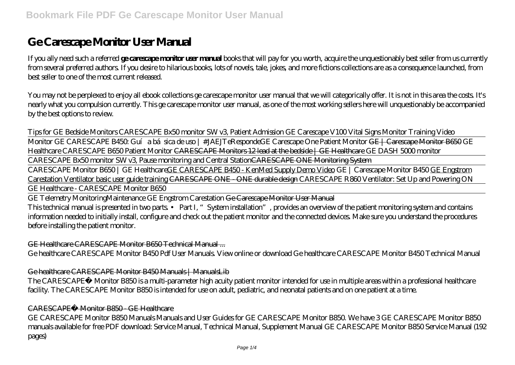# **Ge Carescape Monitor User Manual**

If you ally need such a referred **ge carescape monitor user manual** books that will pay for you worth, acquire the unquestionably best seller from us currently from several preferred authors. If you desire to hilarious books, lots of novels, tale, jokes, and more fictions collections are as a consequence launched, from best seller to one of the most current released.

You may not be perplexed to enjoy all ebook collections ge carescape monitor user manual that we will categorically offer. It is not in this area the costs. It's nearly what you compulsion currently. This ge carescape monitor user manual, as one of the most working sellers here will unquestionably be accompanied by the best options to review.

*Tips for GE Bedside Monitors CARESCAPE Bx50 monitor SW v3, Patient Admission* GE Carescape V100 Vital Signs Monitor Training Video

Monitor GE CARESCAPE B450: Guía básica de uso | #JAEJTeResponde*GE Carescape One Patient Monitor* GE | Carescape Monitor B650 GE Healthcare CARESCAPE B650 Patient Monitor CARESCAPE Monitors 12 lead at the bedside | GE Healthcare GE DASH 5000 monitor

CARESCAPE Bx50 monitor SW v3, Pause monitoring and Central StationCARESCAPE ONE Monitoring System

CARESCAPE Monitor B650 | GE HealthcareGE CARESCAPE B450 - KenMed Supply Demo Video *GE | Carescape Monitor B450* GE Engstrom Carestation Ventilator basic user guide training CARESCAPE ONE - ONE durable design *CARESCAPE R860 Ventilator: Set Up and Powering ON* GE Healthcare - CARESCAPE Monitor B650

GE Telemetry Monitoring*Maintenance GE Engstrom Carestation* Ge Carescape Monitor User Manual This technical manual is presented in two parts. • Part I, "System installation", provides an overview of the patient monitoring system and contains information needed to initially install, configure and check out the patient monitor and the connected devices. Make sure you understand the procedures before installing the patient monitor.

GE Healthcare CARESCAPE Monitor B650 Technical Manual ...

Ge healthcare CARESCAPE Monitor B450 Pdf User Manuals. View online or download Ge healthcare CARESCAPE Monitor B450 Technical Manual

Ge healthcare CARESCAPE Monitor B450 Manuals | ManualsLib

The CARESCAPE™ Monitor B850 is a multi-parameter high acuity patient monitor intended for use in multiple areas within a professional healthcare facility. The CARESCAPE Monitor B850 is intended for use on adult, pediatric, and neonatal patients and on one patient at a time.

### CARESCAPE™ Monitor B850 - GE Healthcare

GE CARESCAPE Monitor B850 Manuals Manuals and User Guides for GE CARESCAPE Monitor B850. We have 3 GE CARESCAPE Monitor B850 manuals available for free PDF download: Service Manual, Technical Manual, Supplement Manual GE CARESCAPE Monitor B850 Service Manual (192 pages)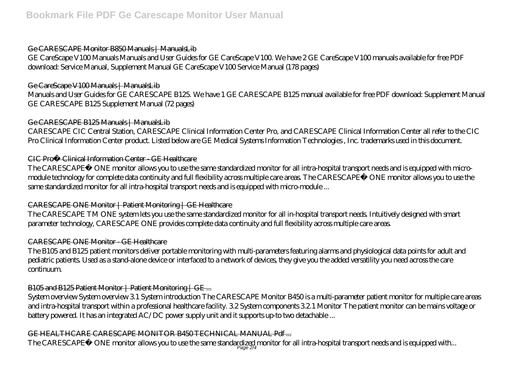#### Ge CARESCAPE Monitor B850 Manuals | ManualsLib

GE CareScape V100 Manuals Manuals and User Guides for GE CareScape V100. We have 2 GE CareScape V100 manuals available for free PDF download: Service Manual, Supplement Manual GE CareScape V100 Service Manual (178 pages)

## Ge CareScape V100 Manuals | ManualsLib

Manuals and User Guides for GE CARESCAPE B125. We have 1 GE CARESCAPE B125 manual available for free PDF download: Supplement Manual GE CARESCAPE B125 Supplement Manual (72 pages)

### Ge CARESCAPE B125 Manuals | ManualsLib

CARESCAPE CIC Central Station, CARESCAPE Clinical Information Center Pro, and CARESCAPE Clinical Information Center all refer to the CIC Pro Clinical Information Center product. Listed below are GE Medical Systems Information Technologies , Inc. trademarks used in this document.

### CIC Pro™ Clinical Information Center - GE Healthcare

The CARESCAPE™ ONE monitor allows you to use the same standardized monitor for all intra-hospital transport needs and is equipped with micromodule technology for complete data continuity and full flexibility across multiple care areas. The CARESCAPE™ ONE monitor allows you to use the same standardized monitor for all intra-hospital transport needs and is equipped with micro-module ...

### CARESCAPE ONE Monitor | Patient Monitoring | GE Healthcare

The CARESCAPE TM ONE system lets you use the same standardized monitor for all in-hospital transport needs. Intuitively designed with smart parameter technology, CARESCAPE ONE provides complete data continuity and full flexibility across multiple care areas.

#### CARESCAPE ONE Monitor - GE Healthcare

The B105 and B125 patient monitors deliver portable monitoring with multi-parameters featuring alarms and physiological data points for adult and pediatric patients. Used as a stand-alone device or interfaced to a network of devices, they give you the added versatility you need across the care continuum.

# B105 and B125 Patient Monitor | Patient Monitoring | GE ...

System overview System overview 3.1 System introduction The CARESCAPE Monitor B450 is a multi-parameter patient monitor for multiple care areas and intra-hospital transport within a professional healthcare facility. 3.2 System components 3.2.1 Monitor The patient monitor can be mains voltage or battery powered. It has an integrated AC/DC power supply unit and it supports up-to two detachable ...

### GE HEALTHCARE CARESCAPE MONITOR B450 TECHNICAL MANUAL Pdf ...

The CARESCAPE™ ONE monitor allows you to use the same standardized monitor for all intra-hospital transport needs and is equipped with...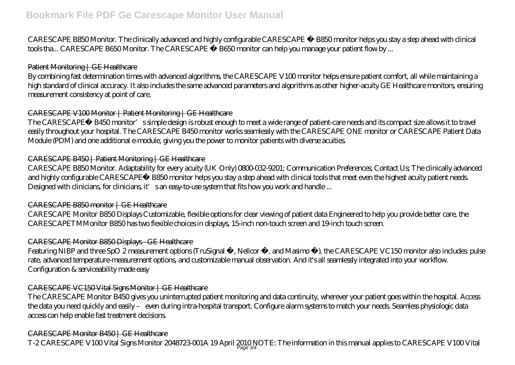CARESCAPE B850 Monitor. The clinically advanced and highly configurable CARESCAPE ™ B850 monitor helps you stay a step ahead with clinical tools tha... CARESCAPE B650 Monitor. The CARESCAPE ™ B650 monitor can help you manage your patient flow by ...

#### Patient Monitoring | GE Healthcare

By combining fast determination times with advanced algorithms, the CARESCAPE V100 monitor helps ensure patient comfort, all while maintaining a high standard of clinical accuracy. It also includes the same advanced parameters and algorithms as other higher-acuity GE Healthcare monitors, ensuring measurement consistency at point of care.

## CARESCAPE V100 Monitor | Patient Monitoring | GE Healthcare

The CARESCAPE™ B450 monitor's simple design is robust enough to meet a wide range of patient-care needs and its compact size allows it to travel easily throughout your hospital. The CARESCAPE B450 monitor works seamlessly with the CARESCAPE ONE monitor or CARESCAPE Patient Data Module (PDM) and one additional e-module, giving you the power to monitor patients with diverse acuities.

### CARESCAPE B450 | Patient Monitoring | GE Healthcare

CARESCAPE B850 Monitor. Adaptability for every acuity (UK Only) 0800-032-9201; Communication Preferences; Contact Us; The clinically advanced and highly configurable CARESCAPE™ B850 monitor helps you stay a step ahead with clinical tools that meet even the highest acuity patient needs. Designed with clinicians, for clinicians, it's an easy-to-use system that fits how you work and handle ...

### CARESCAPE B850 monitor | GE Healthcare

CARESCAPE Monitor B850 Displays Customizable, flexible options for clear viewing of patient data Engineered to help you provide better care, the CARESCAPETMMonitor B850 has two flexible choices in displays, 15-inch non-touch screen and 19-inch touch screen.

### CARESCAPE Monitor B850 Displays - GE Healthcare

Featuring NIBP and three SpO 2 measurement options (TruSignal ™, Nellcor ™, and Masimo ™), the CARESCAPE VC150 monitor also includes pulse rate, advanced temperature-measurement options, and customizable manual observation. And it's all seamlessly integrated into your workflow. Configuration & serviceability made easy

### CARESCAPE VC150 Vital Signs Monitor | GE Healthcare

The CARESCAPE Monitor B450 gives you uninterrupted patient monitoring and data continuity, wherever your patient goes within the hospital. Access the data you need quickly and easily – even during intra-hospital transport. Configure alarm systems to match your needs. Seamless physiologic data access can help enable fast treatment decisions.

### CARESCAPE Monitor B450 | GE Healthcare

T-2 CARESCAPE V 100 Vital Signs Monitor 2048723 001A 19 April 2010 NOTE: The information in this manual applies to CARESCAPE V 100 Vital